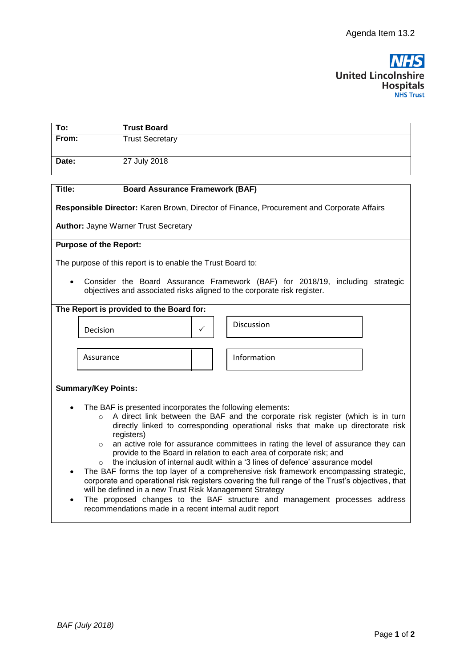

| To:   | <b>Trust Board</b>     |
|-------|------------------------|
| From: | <b>Trust Secretary</b> |
| Date: | 27 July 2018           |

| Title:                                                                                                                                                                                                 |                                                           | <b>Board Assurance Framework (BAF)</b> |                                                                               |  |  |  |
|--------------------------------------------------------------------------------------------------------------------------------------------------------------------------------------------------------|-----------------------------------------------------------|----------------------------------------|-------------------------------------------------------------------------------|--|--|--|
|                                                                                                                                                                                                        |                                                           |                                        |                                                                               |  |  |  |
| Responsible Director: Karen Brown, Director of Finance, Procurement and Corporate Affairs                                                                                                              |                                                           |                                        |                                                                               |  |  |  |
| <b>Author: Jayne Warner Trust Secretary</b>                                                                                                                                                            |                                                           |                                        |                                                                               |  |  |  |
|                                                                                                                                                                                                        |                                                           |                                        |                                                                               |  |  |  |
| <b>Purpose of the Report:</b>                                                                                                                                                                          |                                                           |                                        |                                                                               |  |  |  |
|                                                                                                                                                                                                        |                                                           |                                        |                                                                               |  |  |  |
| The purpose of this report is to enable the Trust Board to:                                                                                                                                            |                                                           |                                        |                                                                               |  |  |  |
|                                                                                                                                                                                                        |                                                           |                                        |                                                                               |  |  |  |
| $\bullet$                                                                                                                                                                                              |                                                           |                                        | Consider the Board Assurance Framework (BAF) for 2018/19, including strategic |  |  |  |
|                                                                                                                                                                                                        |                                                           |                                        | objectives and associated risks aligned to the corporate risk register.       |  |  |  |
| The Report is provided to the Board for:                                                                                                                                                               |                                                           |                                        |                                                                               |  |  |  |
|                                                                                                                                                                                                        |                                                           |                                        |                                                                               |  |  |  |
| Decision                                                                                                                                                                                               |                                                           | ✓                                      | Discussion                                                                    |  |  |  |
|                                                                                                                                                                                                        |                                                           |                                        |                                                                               |  |  |  |
|                                                                                                                                                                                                        |                                                           |                                        |                                                                               |  |  |  |
| Assurance                                                                                                                                                                                              |                                                           |                                        | Information                                                                   |  |  |  |
|                                                                                                                                                                                                        |                                                           |                                        |                                                                               |  |  |  |
|                                                                                                                                                                                                        |                                                           |                                        |                                                                               |  |  |  |
| <b>Summary/Key Points:</b>                                                                                                                                                                             |                                                           |                                        |                                                                               |  |  |  |
|                                                                                                                                                                                                        |                                                           |                                        |                                                                               |  |  |  |
|                                                                                                                                                                                                        | The BAF is presented incorporates the following elements: |                                        |                                                                               |  |  |  |
| A direct link between the BAF and the corporate risk register (which is in turn<br>$\circ$                                                                                                             |                                                           |                                        |                                                                               |  |  |  |
| directly linked to corresponding operational risks that make up directorate risk                                                                                                                       |                                                           |                                        |                                                                               |  |  |  |
| registers)                                                                                                                                                                                             |                                                           |                                        |                                                                               |  |  |  |
| an active role for assurance committees in rating the level of assurance they can<br>$\circ$                                                                                                           |                                                           |                                        |                                                                               |  |  |  |
| provide to the Board in relation to each area of corporate risk; and                                                                                                                                   |                                                           |                                        |                                                                               |  |  |  |
| the inclusion of internal audit within a '3 lines of defence' assurance model                                                                                                                          |                                                           |                                        |                                                                               |  |  |  |
| The BAF forms the top layer of a comprehensive risk framework encompassing strategic,<br>$\bullet$<br>corporate and operational risk registers covering the full range of the Trust's objectives, that |                                                           |                                        |                                                                               |  |  |  |
| will be defined in a new Trust Risk Management Strategy                                                                                                                                                |                                                           |                                        |                                                                               |  |  |  |
| The proposed changes to the BAF structure and management processes address                                                                                                                             |                                                           |                                        |                                                                               |  |  |  |
| recommendations made in a recent internal audit report                                                                                                                                                 |                                                           |                                        |                                                                               |  |  |  |